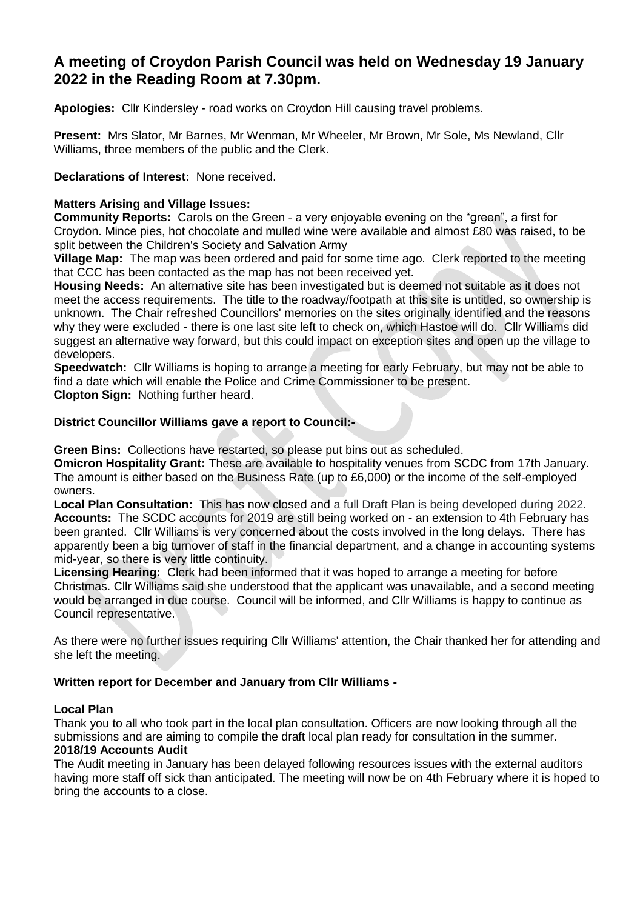# **A meeting of Croydon Parish Council was held on Wednesday 19 January 2022 in the Reading Room at 7.30pm.**

**Apologies:** Cllr Kindersley - road works on Croydon Hill causing travel problems.

**Present:** Mrs Slator, Mr Barnes, Mr Wenman, Mr Wheeler, Mr Brown, Mr Sole, Ms Newland, Cllr Williams, three members of the public and the Clerk.

**Declarations of Interest:** None received.

# **Matters Arising and Village Issues:**

**Community Reports:** Carols on the Green - a very enjoyable evening on the "green", a first for Croydon. Mince pies, hot chocolate and mulled wine were available and almost £80 was raised, to be split between the Children's Society and Salvation Army

**Village Map:** The map was been ordered and paid for some time ago. Clerk reported to the meeting that CCC has been contacted as the map has not been received yet.

**Housing Needs:** An alternative site has been investigated but is deemed not suitable as it does not meet the access requirements. The title to the roadway/footpath at this site is untitled, so ownership is unknown. The Chair refreshed Councillors' memories on the sites originally identified and the reasons why they were excluded - there is one last site left to check on, which Hastoe will do. Cllr Williams did suggest an alternative way forward, but this could impact on exception sites and open up the village to developers.

**Speedwatch:** Cllr Williams is hoping to arrange a meeting for early February, but may not be able to find a date which will enable the Police and Crime Commissioner to be present. **Clopton Sign:** Nothing further heard.

# **District Councillor Williams gave a report to Council:-**

**Green Bins:** Collections have restarted, so please put bins out as scheduled.

**Omicron Hospitality Grant:** These are available to hospitality venues from SCDC from 17th January. The amount is either based on the Business Rate (up to £6,000) or the income of the self-employed owners.

**Local Plan Consultation:** This has now closed and a full Draft Plan is being developed during 2022. **Accounts:** The SCDC accounts for 2019 are still being worked on - an extension to 4th February has been granted. Cllr Williams is very concerned about the costs involved in the long delays. There has apparently been a big turnover of staff in the financial department, and a change in accounting systems mid-year, so there is very little continuity.

**Licensing Hearing:** Clerk had been informed that it was hoped to arrange a meeting for before Christmas. Cllr Williams said she understood that the applicant was unavailable, and a second meeting would be arranged in due course. Council will be informed, and Cllr Williams is happy to continue as Council representative.

As there were no further issues requiring Cllr Williams' attention, the Chair thanked her for attending and she left the meeting.

# **Written report for December and January from Cllr Williams -**

#### **Local Plan**

Thank you to all who took part in the local plan consultation. Officers are now looking through all the submissions and are aiming to compile the draft local plan ready for consultation in the summer. **2018/19 Accounts Audit**

The Audit meeting in January has been delayed following resources issues with the external auditors having more staff off sick than anticipated. The meeting will now be on 4th February where it is hoped to bring the accounts to a close.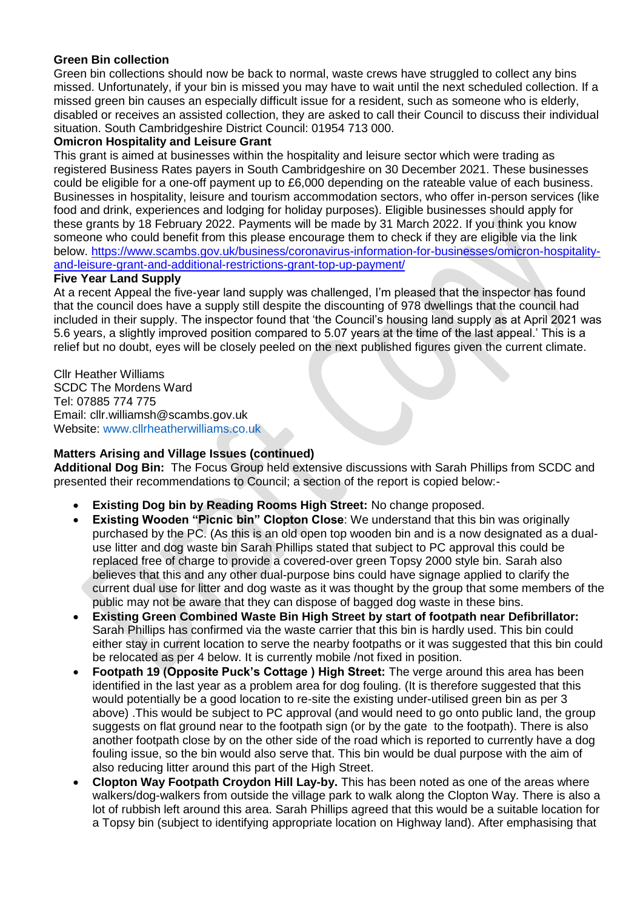# **Green Bin collection**

Green bin collections should now be back to normal, waste crews have struggled to collect any bins missed. Unfortunately, if your bin is missed you may have to wait until the next scheduled collection. If a missed green bin causes an especially difficult issue for a resident, such as someone who is elderly, disabled or receives an assisted collection, they are asked to call their Council to discuss their individual situation. South Cambridgeshire District Council: 01954 713 000.

#### **Omicron Hospitality and Leisure Grant**

This grant is aimed at businesses within the hospitality and leisure sector which were trading as registered Business Rates payers in South Cambridgeshire on 30 December 2021. These businesses could be eligible for a one-off payment up to £6,000 depending on the rateable value of each business. Businesses in hospitality, leisure and tourism accommodation sectors, who offer in-person services (like food and drink, experiences and lodging for holiday purposes). Eligible businesses should apply for these grants by 18 February 2022. Payments will be made by 31 March 2022. If you think you know someone who could benefit from this please encourage them to check if they are eligible via the link below. [https://www.scambs.gov.uk/business/coronavirus-information-for-businesses/omicron-hospitality](https://www.scambs.gov.uk/business/coronavirus-information-for-businesses/omicron-hospitality-and-leisure-grant-and-additional-restrictions-grant-top-up-payment/)[and-leisure-grant-and-additional-restrictions-grant-top-up-payment/](https://www.scambs.gov.uk/business/coronavirus-information-for-businesses/omicron-hospitality-and-leisure-grant-and-additional-restrictions-grant-top-up-payment/)

#### **Five Year Land Supply**

At a recent Appeal the five-year land supply was challenged, I'm pleased that the inspector has found that the council does have a supply still despite the discounting of 978 dwellings that the council had included in their supply. The inspector found that 'the Council's housing land supply as at April 2021 was 5.6 years, a slightly improved position compared to 5.07 years at the time of the last appeal.' This is a relief but no doubt, eyes will be closely peeled on the next published figures given the current climate.

Cllr Heather Williams SCDC The Mordens Ward Tel: 07885 774 775 Email: cllr.williamsh@scambs.gov.uk Website: www.cllrheatherwilliams.co.uk

#### **Matters Arising and Village Issues (continued)**

**Additional Dog Bin:** The Focus Group held extensive discussions with Sarah Phillips from SCDC and presented their recommendations to Council; a section of the report is copied below:-

- **Existing Dog bin by Reading Rooms High Street:** No change proposed.
- **Existing Wooden "Picnic bin" Clopton Close**: We understand that this bin was originally purchased by the PC. (As this is an old open top wooden bin and is a now designated as a dualuse litter and dog waste bin Sarah Phillips stated that subject to PC approval this could be replaced free of charge to provide a covered-over green Topsy 2000 style bin. Sarah also believes that this and any other dual-purpose bins could have signage applied to clarify the current dual use for litter and dog waste as it was thought by the group that some members of the public may not be aware that they can dispose of bagged dog waste in these bins.
- **Existing Green Combined Waste Bin High Street by start of footpath near Defibrillator:** Sarah Phillips has confirmed via the waste carrier that this bin is hardly used. This bin could either stay in current location to serve the nearby footpaths or it was suggested that this bin could be relocated as per 4 below. It is currently mobile /not fixed in position.
- **Footpath 19 (Opposite Puck's Cottage ) High Street:** The verge around this area has been identified in the last year as a problem area for dog fouling. (It is therefore suggested that this would potentially be a good location to re-site the existing under-utilised green bin as per 3 above) .This would be subject to PC approval (and would need to go onto public land, the group suggests on flat ground near to the footpath sign (or by the gate to the footpath). There is also another footpath close by on the other side of the road which is reported to currently have a dog fouling issue, so the bin would also serve that. This bin would be dual purpose with the aim of also reducing litter around this part of the High Street.
- **Clopton Way Footpath Croydon Hill Lay-by.** This has been noted as one of the areas where walkers/dog-walkers from outside the village park to walk along the Clopton Way. There is also a lot of rubbish left around this area. Sarah Phillips agreed that this would be a suitable location for a Topsy bin (subject to identifying appropriate location on Highway land). After emphasising that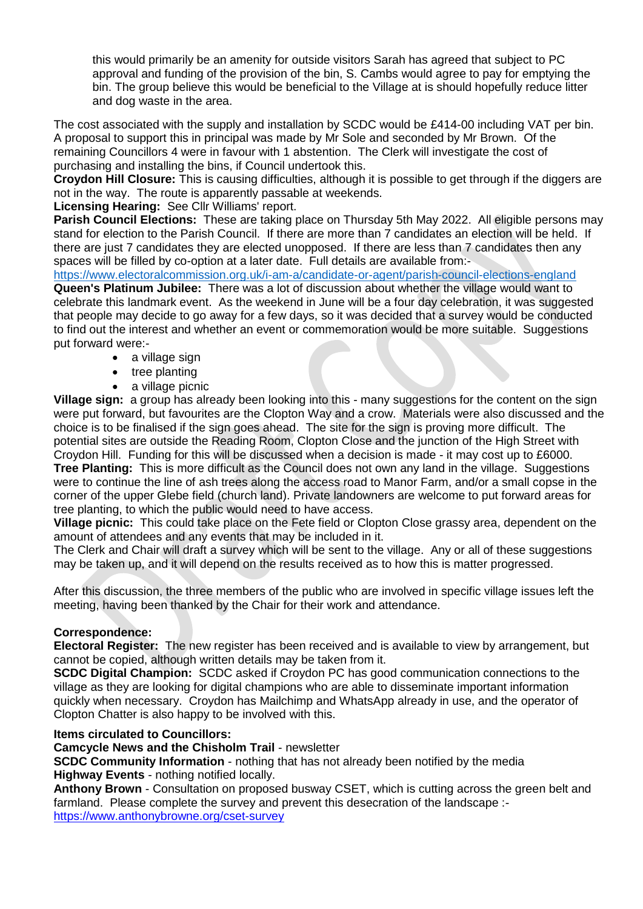this would primarily be an amenity for outside visitors Sarah has agreed that subject to PC approval and funding of the provision of the bin, S. Cambs would agree to pay for emptying the bin. The group believe this would be beneficial to the Village at is should hopefully reduce litter and dog waste in the area.

The cost associated with the supply and installation by SCDC would be £414-00 including VAT per bin. A proposal to support this in principal was made by Mr Sole and seconded by Mr Brown. Of the remaining Councillors 4 were in favour with 1 abstention. The Clerk will investigate the cost of purchasing and installing the bins, if Council undertook this.

**Croydon Hill Closure:** This is causing difficulties, although it is possible to get through if the diggers are not in the way. The route is apparently passable at weekends.

# **Licensing Hearing:** See Cllr Williams' report.

**Parish Council Elections:** These are taking place on Thursday 5th May 2022. All eligible persons may stand for election to the Parish Council. If there are more than 7 candidates an election will be held. If there are just 7 candidates they are elected unopposed. If there are less than 7 candidates then any spaces will be filled by co-option at a later date. Full details are available from:-

<https://www.electoralcommission.org.uk/i-am-a/candidate-or-agent/parish-council-elections-england>

**Queen's Platinum Jubilee:** There was a lot of discussion about whether the village would want to celebrate this landmark event. As the weekend in June will be a four day celebration, it was suggested that people may decide to go away for a few days, so it was decided that a survey would be conducted to find out the interest and whether an event or commemoration would be more suitable. Suggestions put forward were:-

- a village sign
- tree planting
- a village picnic

**Village sign:** a group has already been looking into this - many suggestions for the content on the sign were put forward, but favourites are the Clopton Way and a crow. Materials were also discussed and the choice is to be finalised if the sign goes ahead. The site for the sign is proving more difficult. The potential sites are outside the Reading Room, Clopton Close and the junction of the High Street with Croydon Hill. Funding for this will be discussed when a decision is made - it may cost up to £6000.

**Tree Planting:** This is more difficult as the Council does not own any land in the village. Suggestions were to continue the line of ash trees along the access road to Manor Farm, and/or a small copse in the corner of the upper Glebe field (church land). Private landowners are welcome to put forward areas for tree planting, to which the public would need to have access.

**Village picnic:** This could take place on the Fete field or Clopton Close grassy area, dependent on the amount of attendees and any events that may be included in it.

The Clerk and Chair will draft a survey which will be sent to the village. Any or all of these suggestions may be taken up, and it will depend on the results received as to how this is matter progressed.

After this discussion, the three members of the public who are involved in specific village issues left the meeting, having been thanked by the Chair for their work and attendance.

# **Correspondence:**

**Electoral Register:** The new register has been received and is available to view by arrangement, but cannot be copied, although written details may be taken from it.

**SCDC Digital Champion:** SCDC asked if Croydon PC has good communication connections to the village as they are looking for digital champions who are able to disseminate important information quickly when necessary. Croydon has Mailchimp and WhatsApp already in use, and the operator of Clopton Chatter is also happy to be involved with this.

#### **Items circulated to Councillors:**

**Camcycle News and the Chisholm Trail** - newsletter

**SCDC Community Information** - nothing that has not already been notified by the media **Highway Events** - nothing notified locally.

**Anthony Brown** - Consultation on proposed busway CSET, which is cutting across the green belt and farmland. Please complete the survey and prevent this desecration of the landscape : <https://www.anthonybrowne.org/cset-survey>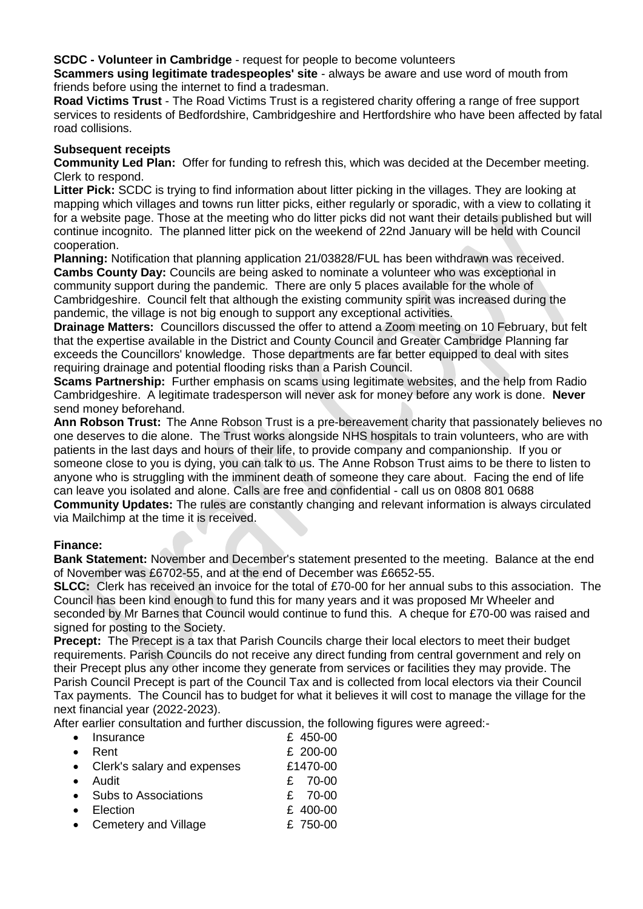**SCDC - Volunteer in Cambridge** - request for people to become volunteers

**Scammers using legitimate tradespeoples' site** - always be aware and use word of mouth from friends before using the internet to find a tradesman.

**Road Victims Trust** - The Road Victims Trust is a registered charity offering a range of free support services to residents of Bedfordshire, Cambridgeshire and Hertfordshire who have been affected by fatal road collisions.

#### **Subsequent receipts**

**Community Led Plan:** Offer for funding to refresh this, which was decided at the December meeting. Clerk to respond.

**Litter Pick:** SCDC is trying to find information about litter picking in the villages. They are looking at mapping which villages and towns run litter picks, either regularly or sporadic, with a view to collating it for a website page. Those at the meeting who do litter picks did not want their details published but will continue incognito. The planned litter pick on the weekend of 22nd January will be held with Council cooperation.

**Planning:** Notification that planning application 21/03828/FUL has been withdrawn was received. **Cambs County Day:** Councils are being asked to nominate a volunteer who was exceptional in community support during the pandemic. There are only 5 places available for the whole of Cambridgeshire. Council felt that although the existing community spirit was increased during the pandemic, the village is not big enough to support any exceptional activities.

**Drainage Matters:** Councillors discussed the offer to attend a Zoom meeting on 10 February, but felt that the expertise available in the District and County Council and Greater Cambridge Planning far exceeds the Councillors' knowledge. Those departments are far better equipped to deal with sites requiring drainage and potential flooding risks than a Parish Council.

**Scams Partnership:** Further emphasis on scams using legitimate websites, and the help from Radio Cambridgeshire. A legitimate tradesperson will never ask for money before any work is done. **Never**  send money beforehand.

**Ann Robson Trust:** The Anne Robson Trust is a pre-bereavement charity that passionately believes no one deserves to die alone. The Trust works alongside NHS hospitals to train volunteers, who are with patients in the last days and hours of their life, to provide company and companionship. If you or someone close to you is dying, you can talk to us. The Anne Robson Trust aims to be there to listen to anyone who is struggling with the imminent death of someone they care about. Facing the end of life can leave you isolated and alone. Calls are free and confidential - call us on 0808 801 0688 **Community Updates:** The rules are constantly changing and relevant information is always circulated

via Mailchimp at the time it is received.

#### **Finance:**

**Bank Statement:** November and December's statement presented to the meeting. Balance at the end of November was £6702-55, and at the end of December was £6652-55.

**SLCC:** Clerk has received an invoice for the total of £70-00 for her annual subs to this association. The Council has been kind enough to fund this for many years and it was proposed Mr Wheeler and seconded by Mr Barnes that Council would continue to fund this. A cheque for £70-00 was raised and signed for posting to the Society.

**Precept:** The Precept is a tax that Parish Councils charge their local electors to meet their budget requirements. Parish Councils do not receive any direct funding from central government and rely on their Precept plus any other income they generate from services or facilities they may provide. The Parish Council Precept is part of the Council Tax and is collected from local electors via their Council Tax payments. The Council has to budget for what it believes it will cost to manage the village for the next financial year (2022-2023).

After earlier consultation and further discussion, the following figures were agreed:-

| $\bullet$ | Insurance                     | £ 450-00 |
|-----------|-------------------------------|----------|
|           | Rent                          | £ 200-00 |
|           | • Clerk's salary and expenses | £1470-00 |
| $\bullet$ | Audit                         | £ 70-00  |
|           | • Subs to Associations        | £ 70-00  |
|           | Election                      | £ 400-00 |
|           | Cemetery and Village          | £ 750-00 |